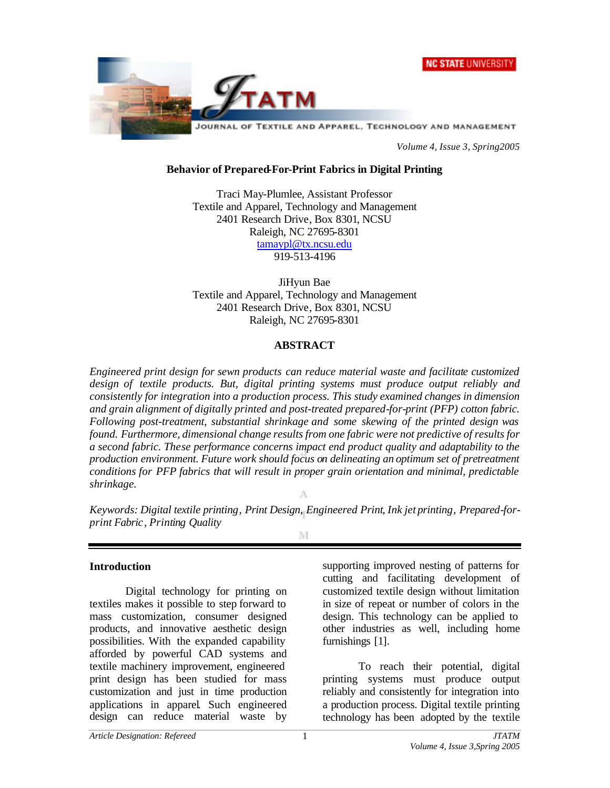



*Volume 4, Issue 3, Spring2005*

#### **Behavior of Prepared-For-Print Fabrics in Digital Printing**

Traci May-Plumlee, Assistant Professor Textile and Apparel, Technology and Management 2401 Research Drive, Box 8301, NCSU Raleigh, NC 27695-8301 tamaypl@tx.ncsu.edu 919-513-4196

JiHyun Bae Textile and Apparel, Technology and Management 2401 Research Drive, Box 8301, NCSU Raleigh, NC 27695-8301

#### **ABSTRACT**

*Engineered print design for sewn products can reduce material waste and facilitate customized design of textile products. But, digital printing systems must produce output reliably and consistently for integration into a production process. This study examined changes in dimension and grain alignment of digitally printed and post-treated prepared-for-print (PFP) cotton fabric. Following post-treatment, substantial shrinkage and some skewing of the printed design was found. Furthermore, dimensional change results from one fabric were not predictive of results for a second fabric. These performance concerns impact end product quality and adaptability to the production environment. Future work should focus on delineating an optimum set of pretreatment conditions for PFP fabrics that will result in proper grain orientation and minimal, predictable shrinkage.*

*Keywords: Digital textile printing, Print Design, Engineered Print, Ink jet printing, Prepared-forprint Fabric, Printing Quality*

M

#### **Introduction**

Digital technology for printing on textiles makes it possible to step forward to mass customization, consumer designed products, and innovative aesthetic design possibilities. With the expanded capability afforded by powerful CAD systems and textile machinery improvement, engineered print design has been studied for mass customization and just in time production applications in apparel. Such engineered design can reduce material waste by

supporting improved nesting of patterns for cutting and facilitating development of customized textile design without limitation in size of repeat or number of colors in the design. This technology can be applied to other industries as well, including home furnishings [1].

To reach their potential, digital printing systems must produce output reliably and consistently for integration into a production process. Digital textile printing technology has been adopted by the textile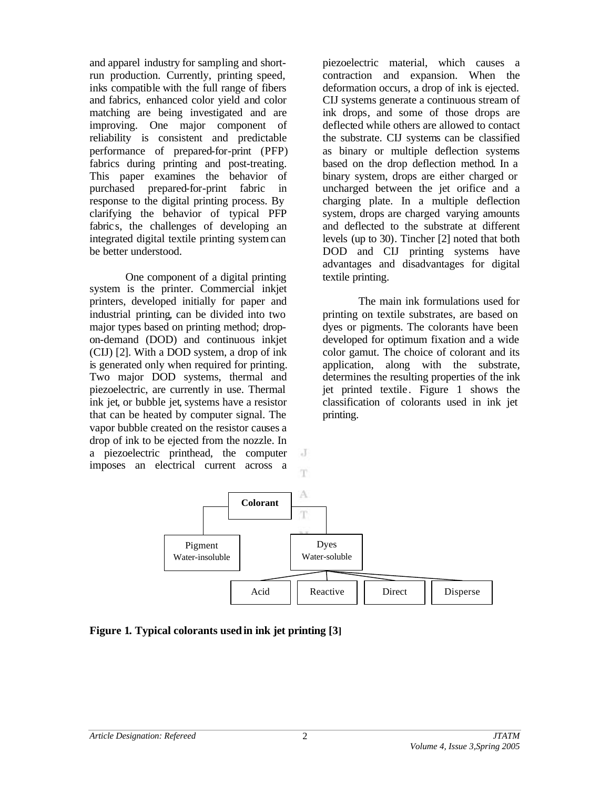and apparel industry for sampling and shortrun production. Currently, printing speed, inks compatible with the full range of fibers and fabrics, enhanced color yield and color matching are being investigated and are improving. One major component of reliability is consistent and predictable performance of prepared-for-print (PFP) fabrics during printing and post-treating. This paper examines the behavior of purchased prepared-for-print fabric in response to the digital printing process. By clarifying the behavior of typical PFP fabrics, the challenges of developing an integrated digital textile printing system can be better understood.

One component of a digital printing system is the printer. Commercial inkjet printers, developed initially for paper and industrial printing, can be divided into two major types based on printing method; dropon-demand (DOD) and continuous inkjet (CIJ) [2]. With a DOD system, a drop of ink is generated only when required for printing. Two major DOD systems, thermal and piezoelectric, are currently in use. Thermal ink jet, or bubble jet, systems have a resistor that can be heated by computer signal. The vapor bubble created on the resistor causes a drop of ink to be ejected from the nozzle. In a piezoelectric printhead, the computer imposes an electrical current across a

piezoelectric material, which causes a contraction and expansion. When the deformation occurs, a drop of ink is ejected. CIJ systems generate a continuous stream of ink drops, and some of those drops are deflected while others are allowed to contact the substrate. CIJ systems can be classified as binary or multiple deflection systems based on the drop deflection method. In a binary system, drops are either charged or uncharged between the jet orifice and a charging plate. In a multiple deflection system, drops are charged varying amounts and deflected to the substrate at different levels (up to 30). Tincher [2] noted that both DOD and CIJ printing systems have advantages and disadvantages for digital textile printing.

The main ink formulations used for printing on textile substrates, are based on dyes or pigments. The colorants have been developed for optimum fixation and a wide color gamut. The choice of colorant and its application, along with the substrate, determines the resulting properties of the ink jet printed textile . Figure 1 shows the classification of colorants used in ink jet printing.



 $\cdot$ T

**Figure 1. Typical colorants used in ink jet printing [3]**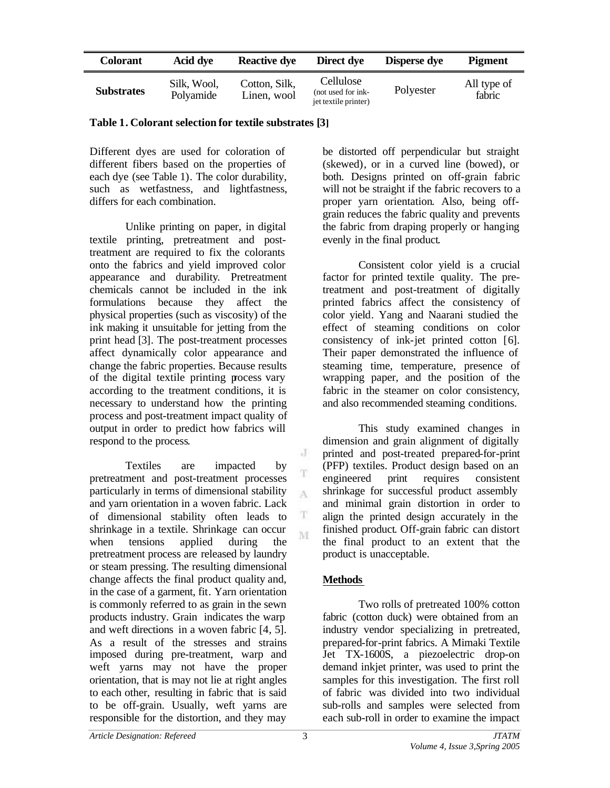| Colorant          | Acid dye                 | <b>Reactive dye</b>          | Direct dye                                              | <b>Disperse dye</b> | <b>Pigment</b>        |
|-------------------|--------------------------|------------------------------|---------------------------------------------------------|---------------------|-----------------------|
| <b>Substrates</b> | Silk. Wool.<br>Polyamide | Cotton, Silk,<br>Linen, wool | Cellulose<br>(not used for ink-<br>jet textile printer) | Polyester           | All type of<br>fabric |

**Table 1. Colorant selection for textile substrates [3]**

Different dyes are used for coloration of different fibers based on the properties of each dye (see Table 1). The color durability, such as wetfastness, and lightfastness, differs for each combination.

Unlike printing on paper, in digital textile printing, pretreatment and posttreatment are required to fix the colorants onto the fabrics and yield improved color appearance and durability. Pretreatment chemicals cannot be included in the ink formulations because they affect the physical properties (such as viscosity) of the ink making it unsuitable for jetting from the print head [3]. The post-treatment processes affect dynamically color appearance and change the fabric properties. Because results of the digital textile printing process vary according to the treatment conditions, it is necessary to understand how the printing process and post-treatment impact quality of output in order to predict how fabrics will respond to the process.

Textiles are impacted by pretreatment and post-treatment processes particularly in terms of dimensional stability and yarn orientation in a woven fabric. Lack of dimensional stability often leads to shrinkage in a textile. Shrinkage can occur when tensions applied during the pretreatment process are released by laundry or steam pressing. The resulting dimensional change affects the final product quality and, in the case of a garment, fit. Yarn orientation is commonly referred to as grain in the sewn products industry. Grain indicates the warp and weft directions in a woven fabric [4, 5]. As a result of the stresses and strains imposed during pre-treatment, warp and weft yarns may not have the proper orientation, that is may not lie at right angles to each other, resulting in fabric that is said to be off-grain. Usually, weft yarns are responsible for the distortion, and they may

be distorted off perpendicular but straight (skewed), or in a curved line (bowed), or both. Designs printed on off-grain fabric will not be straight if the fabric recovers to a proper yarn orientation. Also, being offgrain reduces the fabric quality and prevents the fabric from draping properly or hanging evenly in the final product.

Consistent color yield is a crucial factor for printed textile quality. The pretreatment and post-treatment of digitally printed fabrics affect the consistency of color yield. Yang and Naarani studied the effect of steaming conditions on color consistency of ink-jet printed cotton [6]. Their paper demonstrated the influence of steaming time, temperature, presence of wrapping paper, and the position of the fabric in the steamer on color consistency, and also recommended steaming conditions.

This study examined changes in dimension and grain alignment of digitally printed and post-treated prepared-for-print (PFP) textiles. Product design based on an engineered print requires consistent shrinkage for successful product assembly and minimal grain distortion in order to align the printed design accurately in the finished product. Off-grain fabric can distort the final product to an extent that the product is unacceptable.

# **Methods**

Two rolls of pretreated 100% cotton fabric (cotton duck) were obtained from an industry vendor specializing in pretreated, prepared-for-print fabrics. A Mimaki Textile Jet TX-1600S, a piezoelectric drop-on demand inkjet printer, was used to print the samples for this investigation. The first roll of fabric was divided into two individual sub-rolls and samples were selected from each sub-roll in order to examine the impact

J T

A

T M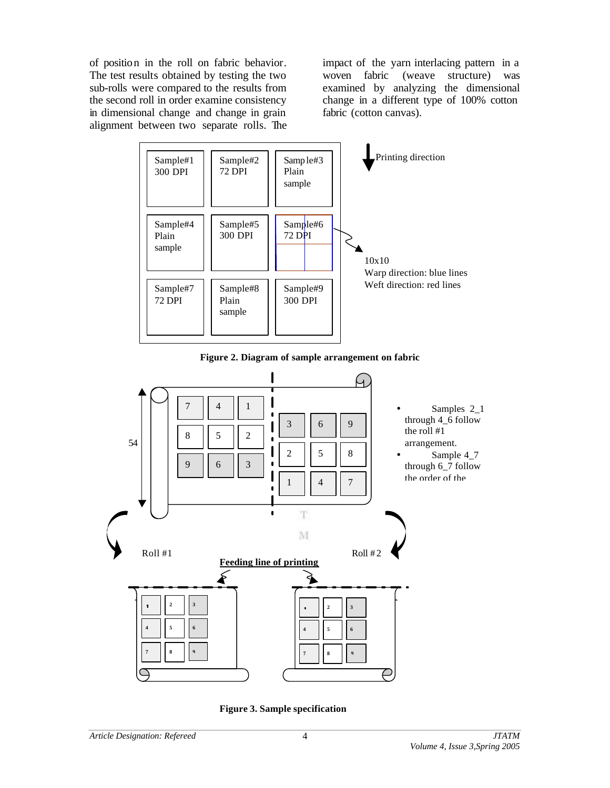of position in the roll on fabric behavior. The test results obtained by testing the two sub-rolls were compared to the results from the second roll in order examine consistency in dimensional change and change in grain alignment between two separate rolls. The

impact of the yarn interlacing pattern in a woven fabric (weave structure) was examined by analyzing the dimensional change in a different type of 100% cotton fabric (cotton canvas).



**Figure 2. Diagram of sample arrangement on fabric**



**Figure 3. Sample specification**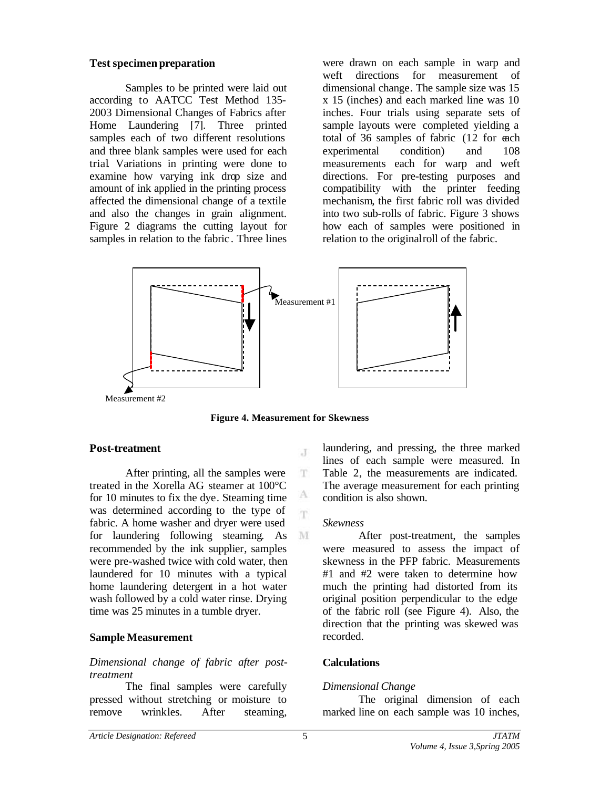#### **Test specimen preparation**

Samples to be printed were laid out according to AATCC Test Method 135- 2003 Dimensional Changes of Fabrics after Home Laundering [7]. Three printed samples each of two different resolutions and three blank samples were used for each trial. Variations in printing were done to examine how varying ink drop size and amount of ink applied in the printing process affected the dimensional change of a textile and also the changes in grain alignment. Figure 2 diagrams the cutting layout for samples in relation to the fabric . Three lines

were drawn on each sample in warp and weft directions for measurement of dimensional change. The sample size was 15 x 15 (inches) and each marked line was 10 inches. Four trials using separate sets of sample layouts were completed yielding a total of 36 samples of fabric (12 for each experimental condition) and 108 measurements each for warp and weft directions. For pre-testing purposes and compatibility with the printer feeding mechanism, the first fabric roll was divided into two sub-rolls of fabric. Figure 3 shows how each of samples were positioned in relation to the original roll of the fabric.



**Figure 4. Measurement for Skewness**

 $\cdot$ T

T

A m.

M

#### **Post-treatment**

After printing, all the samples were treated in the Xorella AG steamer at 100°C for 10 minutes to fix the dye. Steaming time was determined according to the type of fabric. A home washer and dryer were used for laundering following steaming. As recommended by the ink supplier, samples were pre-washed twice with cold water, then laundered for 10 minutes with a typical home laundering detergent in a hot water wash followed by a cold water rinse. Drying time was 25 minutes in a tumble dryer.

## **Sample Measurement**

### *Dimensional change of fabric after posttreatment*

The final samples were carefully pressed without stretching or moisture to remove wrinkles. After steaming,

laundering, and pressing, the three marked lines of each sample were measured. In Table 2, the measurements are indicated. The average measurement for each printing condition is also shown.

#### *Skewness*

After post-treatment, the samples were measured to assess the impact of skewness in the PFP fabric. Measurements #1 and #2 were taken to determine how much the printing had distorted from its original position perpendicular to the edge of the fabric roll (see Figure 4). Also, the direction that the printing was skewed was recorded.

#### **Calculations**

#### *Dimensional Change*

The original dimension of each marked line on each sample was 10 inches,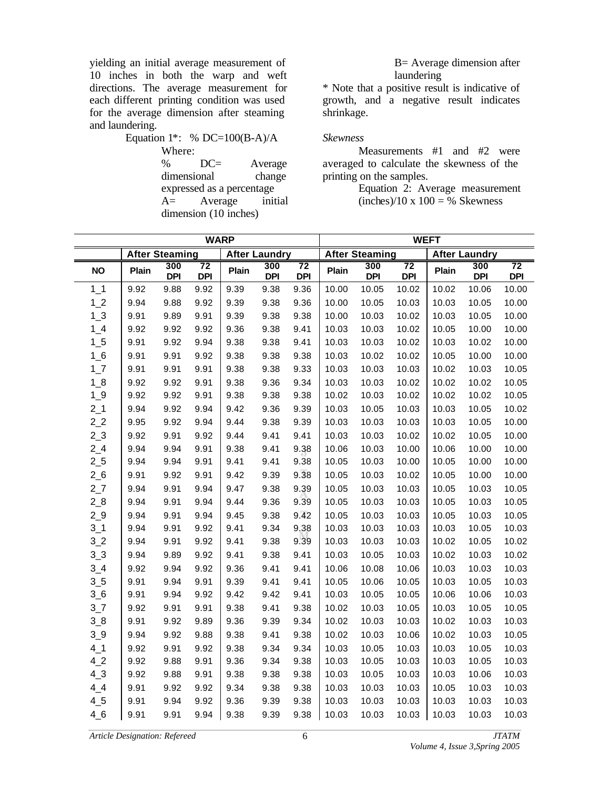yielding an initial average measurement of 10 inches in both the warp and weft directions. The average measurement for each different printing condition was used for the average dimension after steaming and laundering.

Equation 1\*: % DC=100(B-A)/A Where: % DC= Average dimensional change expressed as a percentage A= Average initial dimension (10 inches)

B= Average dimension after laundering

\* Note that a positive result is indicative of growth, and a negative result indicates shrinkage.

*Skewness*

Measurements #1 and #2 were averaged to calculate the skewness of the printing on the samples.

Equation 2: Average measurement  $(inches)/10 \times 100 = %$  Skewness

| <b>WARP</b>    |       |                       |                               |       | <b>WEFT</b>          |                  |                       |                   |                               |                      |                   |                               |
|----------------|-------|-----------------------|-------------------------------|-------|----------------------|------------------|-----------------------|-------------------|-------------------------------|----------------------|-------------------|-------------------------------|
|                |       | <b>After Steaming</b> |                               |       | <b>After Laundry</b> |                  | <b>After Steaming</b> |                   |                               | <b>After Laundry</b> |                   |                               |
| <b>NO</b>      | Plain | 300<br><b>DPI</b>     | $\overline{72}$<br><b>DPI</b> | Plain | 300<br><b>DPI</b>    | 72<br><b>DPI</b> | Plain                 | 300<br><b>DPI</b> | $\overline{72}$<br><b>DPI</b> | Plain                | 300<br><b>DPI</b> | $\overline{72}$<br><b>DPI</b> |
| $1_1$          | 9.92  | 9.88                  | 9.92                          | 9.39  | 9.38                 | 9.36             | 10.00                 | 10.05             | 10.02                         | 10.02                | 10.06             | 10.00                         |
| 1 <sub>2</sub> | 9.94  | 9.88                  | 9.92                          | 9.39  | 9.38                 | 9.36             | 10.00                 | 10.05             | 10.03                         | 10.03                | 10.05             | 10.00                         |
| $1_{.}3$       | 9.91  | 9.89                  | 9.91                          | 9.39  | 9.38                 | 9.38             | 10.00                 | 10.03             | 10.02                         | 10.03                | 10.05             | 10.00                         |
| $1_{-}4$       | 9.92  | 9.92                  | 9.92                          | 9.36  | 9.38                 | 9.41             | 10.03                 | 10.03             | 10.02                         | 10.05                | 10.00             | 10.00                         |
| $1\_5$         | 9.91  | 9.92                  | 9.94                          | 9.38  | 9.38                 | 9.41             | 10.03                 | 10.03             | 10.02                         | 10.03                | 10.02             | 10.00                         |
| $1_{6}$        | 9.91  | 9.91                  | 9.92                          | 9.38  | 9.38                 | 9.38             | 10.03                 | 10.02             | 10.02                         | 10.05                | 10.00             | 10.00                         |
| $1-7$          | 9.91  | 9.91                  | 9.91                          | 9.38  | 9.38                 | 9.33             | 10.03                 | 10.03             | 10.03                         | 10.02                | 10.03             | 10.05                         |
| $1_8$          | 9.92  | 9.92                  | 9.91                          | 9.38  | 9.36                 | 9.34             | 10.03                 | 10.03             | 10.02                         | 10.02                | 10.02             | 10.05                         |
| $1-9$          | 9.92  | 9.92                  | 9.91                          | 9.38  | 9.38                 | 9.38             | 10.02                 | 10.03             | 10.02                         | 10.02                | 10.02             | 10.05                         |
| $2-1$          | 9.94  | 9.92                  | 9.94                          | 9.42  | 9.36                 | 9.39             | 10.03                 | 10.05             | 10.03                         | 10.03                | 10.05             | 10.02                         |
| 2 <sub>2</sub> | 9.95  | 9.92                  | 9.94                          | 9.44  | 9.38                 | 9.39             | 10.03                 | 10.03             | 10.03                         | 10.03                | 10.05             | 10.00                         |
| 2 <sub>3</sub> | 9.92  | 9.91                  | 9.92                          | 9.44  | 9.41                 | 9.41             | 10.03                 | 10.03             | 10.02                         | 10.02                | 10.05             | 10.00                         |
| $2_{-}4$       | 9.94  | 9.94                  | 9.91                          | 9.38  | 9.41                 | 9.38             | 10.06                 | 10.03             | 10.00                         | 10.06                | 10.00             | 10.00                         |
| $2\_5$         | 9.94  | 9.94                  | 9.91                          | 9.41  | 9.41                 | 9.38             | 10.05                 | 10.03             | 10.00                         | 10.05                | 10.00             | 10.00                         |
| $2-6$          | 9.91  | 9.92                  | 9.91                          | 9.42  | 9.39                 | 9.38             | 10.05                 | 10.03             | 10.02                         | 10.05                | 10.00             | 10.00                         |
| 27             | 9.94  | 9.91                  | 9.94                          | 9.47  | 9.38                 | 9.39             | 10.05                 | 10.03             | 10.03                         | 10.05                | 10.03             | 10.05                         |
| $2_8$          | 9.94  | 9.91                  | 9.94                          | 9.44  | 9.36                 | 9.39             | 10.05                 | 10.03             | 10.03                         | 10.05                | 10.03             | 10.05                         |
| $2-9$          | 9.94  | 9.91                  | 9.94                          | 9.45  | 9.38                 | 9.42             | 10.05                 | 10.03             | 10.03                         | 10.05                | 10.03             | 10.05                         |
| $3-1$          | 9.94  | 9.91                  | 9.92                          | 9.41  | 9.34                 | 9.38             | 10.03                 | 10.03             | 10.03                         | 10.03                | 10.05             | 10.03                         |
| 3 <sub>2</sub> | 9.94  | 9.91                  | 9.92                          | 9.41  | 9.38                 | 9.39             | 10.03                 | 10.03             | 10.03                         | 10.02                | 10.05             | 10.02                         |
| 3 <sub>2</sub> | 9.94  | 9.89                  | 9.92                          | 9.41  | 9.38                 | 9.41             | 10.03                 | 10.05             | 10.03                         | 10.02                | 10.03             | 10.02                         |
| $3-4$          | 9.92  | 9.94                  | 9.92                          | 9.36  | 9.41                 | 9.41             | 10.06                 | 10.08             | 10.06                         | 10.03                | 10.03             | 10.03                         |
| $3-5$          | 9.91  | 9.94                  | 9.91                          | 9.39  | 9.41                 | 9.41             | 10.05                 | 10.06             | 10.05                         | 10.03                | 10.05             | 10.03                         |
| 36             | 9.91  | 9.94                  | 9.92                          | 9.42  | 9.42                 | 9.41             | 10.03                 | 10.05             | 10.05                         | 10.06                | 10.06             | 10.03                         |
| $3-7$          | 9.92  | 9.91                  | 9.91                          | 9.38  | 9.41                 | 9.38             | 10.02                 | 10.03             | 10.05                         | 10.03                | 10.05             | 10.05                         |
| $3_8$          | 9.91  | 9.92                  | 9.89                          | 9.36  | 9.39                 | 9.34             | 10.02                 | 10.03             | 10.03                         | 10.02                | 10.03             | 10.03                         |
| 3 <sub>0</sub> | 9.94  | 9.92                  | 9.88                          | 9.38  | 9.41                 | 9.38             | 10.02                 | 10.03             | 10.06                         | 10.02                | 10.03             | 10.05                         |
| $4-1$          | 9.92  | 9.91                  | 9.92                          | 9.38  | 9.34                 | 9.34             | 10.03                 | 10.05             | 10.03                         | 10.03                | 10.05             | 10.03                         |
| 42             | 9.92  | 9.88                  | 9.91                          | 9.36  | 9.34                 | 9.38             | 10.03                 | 10.05             | 10.03                         | 10.03                | 10.05             | 10.03                         |
| $4-3$          | 9.92  | 9.88                  | 9.91                          | 9.38  | 9.38                 | 9.38             | 10.03                 | 10.05             | 10.03                         | 10.03                | 10.06             | 10.03                         |
| $4-4$          | 9.91  | 9.92                  | 9.92                          | 9.34  | 9.38                 | 9.38             | 10.03                 | 10.03             | 10.03                         | 10.05                | 10.03             | 10.03                         |
| $4\_5$         | 9.91  | 9.94                  | 9.92                          | 9.36  | 9.39                 | 9.38             | 10.03                 | 10.03             | 10.03                         | 10.03                | 10.03             | 10.03                         |
| $4-6$          | 9.91  | 9.91                  | 9.94                          | 9.38  | 9.39                 | 9.38             | 10.03                 | 10.03             | 10.03                         | 10.03                | 10.03             | 10.03                         |

*Article Designation: Refereed JTATM*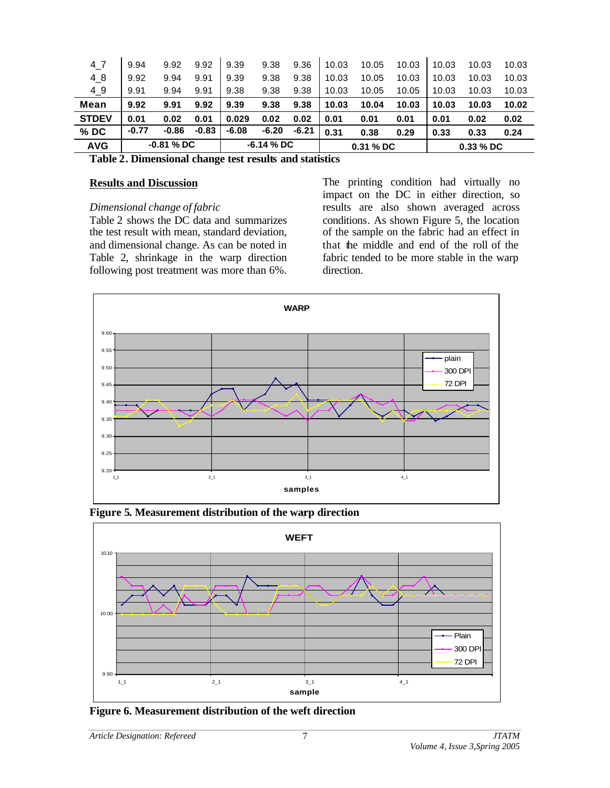| 4 7          | 9.94         | 9.92  | 9.92        | 9.39    | 9.38      | 9.36    | 10.03 | 10.05       | 10.03 | 10.03 | 10.03 | 10.03 |
|--------------|--------------|-------|-------------|---------|-----------|---------|-------|-------------|-------|-------|-------|-------|
| 48           | 9.92         | 9.94  | 9.91        | 9.39    | 9.38      | 9.38    | 10.03 | 10.05       | 10.03 | 10.03 | 10.03 | 10.03 |
| $4_{9}$      | 9.91         | 9.94  | 9.91        | 9.38    | 9.38      | 9.38    | 10.03 | 10.05       | 10.05 | 10.03 | 10.03 | 10.03 |
| Mean         | 9.92         | 9.91  | 9.92        | 9.39    | 9.38      | 9.38    | 10.03 | 10.04       | 10.03 | 10.03 | 10.03 | 10.02 |
| <b>STDEV</b> | 0.01         | 0.02  | 0.01        | 0.029   | 0.02      | 0.02    | 0.01  | 0.01        | 0.01  | 0.01  | 0.02  | 0.02  |
| $%$ DC       | $-0.77$      | -0.86 | $-0.83$     | $-6.08$ | $-6.20$   | $-6.21$ | 0.31  | 0.38        | 0.29  | 0.33  | 0.33  | 0.24  |
| <b>AVG</b>   | $-0.81\%$ DC |       | $-6.14%$ DC |         | 0.31 % DC |         |       | $0.33\%$ DC |       |       |       |       |

**Table 2. Dimensional change test results and statistics**

#### **Results and Discussion**

#### *Dimensional change of fabric*

Table 2 shows the DC data and summarizes the test result with mean, standard deviation, and dimensional change. As can be noted in Table 2, shrinkage in the warp direction following post treatment was more than 6%.

The printing condition had virtually no impact on the DC in either direction, so results are also shown averaged across conditions. As shown Figure 5, the location of the sample on the fabric had an effect in that the middle and end of the roll of the fabric tended to be more stable in the warp direction.



**Figure 5. Measurement distribution of the warp direction**



**Figure 6. Measurement distribution of the weft direction**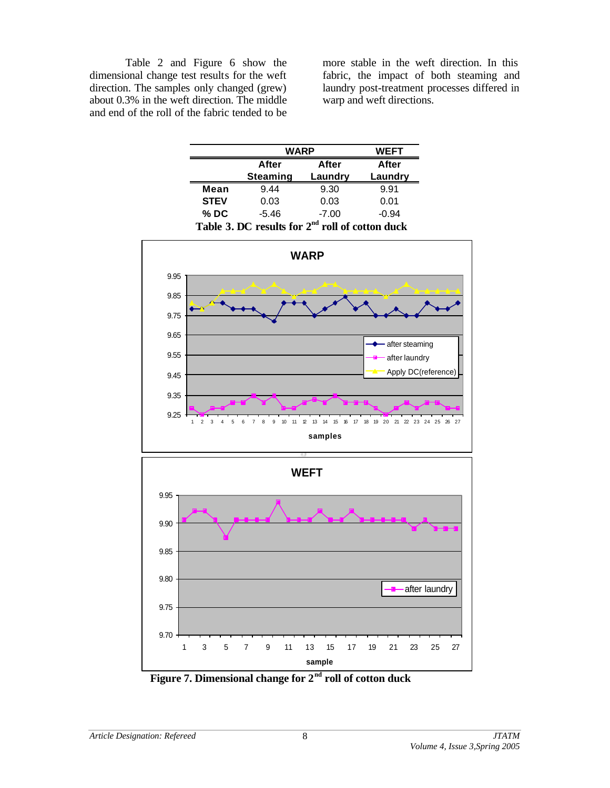Table 2 and Figure 6 show the dimensional change test results for the weft direction. The samples only changed (grew) about 0.3% in the weft direction. The middle and end of the roll of the fabric tended to be

more stable in the weft direction. In this fabric, the impact of both steaming and laundry post-treatment processes differed in warp and weft directions.

|                                                   | <b>WARP</b>     | <b>WEFT</b> |         |  |  |  |
|---------------------------------------------------|-----------------|-------------|---------|--|--|--|
|                                                   | After           | After       |         |  |  |  |
|                                                   | <b>Steaming</b> | Laundry     | Laundry |  |  |  |
| Mean                                              | 9.44            | 9.30        | 9.91    |  |  |  |
| <b>STEV</b>                                       | 0.03            | 0.03        | 0.01    |  |  |  |
| $%$ DC                                            | -5.46           | $-7.00$     | $-0.94$ |  |  |  |
| Table 3. DC results for $2nd$ roll of cotton duck |                 |             |         |  |  |  |



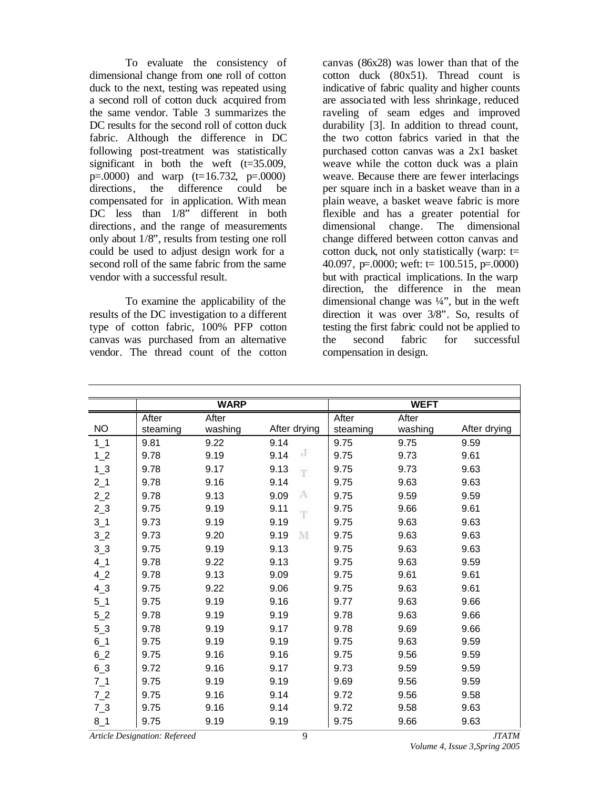To evaluate the consistency of dimensional change from one roll of cotton duck to the next, testing was repeated using a second roll of cotton duck acquired from the same vendor. Table 3 summarizes the DC results for the second roll of cotton duck fabric. Although the difference in DC following post-treatment was statistically significant in both the weft  $(t=35.009,$  $p=0.0000$  and warp  $(t=16.732, p=.0000)$ directions, the difference could be compensated for in application. With mean DC less than  $1/8$ " different in both directions, and the range of measurements only about 1/8", results from testing one roll could be used to adjust design work for a second roll of the same fabric from the same vendor with a successful result.

To examine the applicability of the results of the DC investigation to a different type of cotton fabric, 100% PFP cotton canvas was purchased from an alternative vendor. The thread count of the cotton canvas (86x28) was lower than that of the cotton duck (80x51). Thread count is indicative of fabric quality and higher counts are associa ted with less shrinkage, reduced raveling of seam edges and improved durability [3]. In addition to thread count, the two cotton fabrics varied in that the purchased cotton canvas was a 2x1 basket weave while the cotton duck was a plain weave. Because there are fewer interlacings per square inch in a basket weave than in a plain weave, a basket weave fabric is more flexible and has a greater potential for dimensional change. The dimensional change differed between cotton canvas and cotton duck, not only statistically (warp:  $t=$ 40.097, p=.0000; weft:  $t = 100.515$ , p=.0000) but with practical implications. In the warp direction, the difference in the mean dimensional change was  $\frac{1}{4}$ , but in the weft direction it was over 3/8". So, results of testing the first fabric could not be applied to the second fabric for successful compensation in design.

|                |                   | <b>WARP</b>      |              |                   | <b>WEFT</b>      |              |
|----------------|-------------------|------------------|--------------|-------------------|------------------|--------------|
| <b>NO</b>      | After<br>steaming | After<br>washing | After drying | After<br>steaming | After<br>washing | After drying |
| $1_{-1}$       | 9.81              | 9.22             | 9.14         | 9.75              | 9.75             | 9.59         |
| $1-2$          | 9.78              | 9.19             | J<br>9.14    | 9.75              | 9.73             | 9.61         |
| $1_{-}3$       | 9.78              | 9.17             | 9.13<br>T    | 9.75              | 9.73             | 9.63         |
| $2-1$          | 9.78              | 9.16             | 9.14         | 9.75              | 9.63             | 9.63         |
| 2 <sub>2</sub> | 9.78              | 9.13             | А<br>9.09    | 9.75              | 9.59             | 9.59         |
| $2-3$          | 9.75              | 9.19             | 9.11<br>T    | 9.75              | 9.66             | 9.61         |
| $3-1$          | 9.73              | 9.19             | 9.19         | 9.75              | 9.63             | 9.63         |
| 3 <sub>2</sub> | 9.73              | 9.20             | M<br>9.19    | 9.75              | 9.63             | 9.63         |
| 3 <sub>2</sub> | 9.75              | 9.19             | 9.13         | 9.75              | 9.63             | 9.63         |
| $4-1$          | 9.78              | 9.22             | 9.13         | 9.75              | 9.63             | 9.59         |
| 42             | 9.78              | 9.13             | 9.09         | 9.75              | 9.61             | 9.61         |
| $4-3$          | 9.75              | 9.22             | 9.06         | 9.75              | 9.63             | 9.61         |
| $5-1$          | 9.75              | 9.19             | 9.16         | 9.77              | 9.63             | 9.66         |
| 52             | 9.78              | 9.19             | 9.19         | 9.78              | 9.63             | 9.66         |
| $5-3$          | 9.78              | 9.19             | 9.17         | 9.78              | 9.69             | 9.66         |
| $6-1$          | 9.75              | 9.19             | 9.19         | 9.75              | 9.63             | 9.59         |
| 62             | 9.75              | 9.16             | 9.16         | 9.75              | 9.56             | 9.59         |
| $6 - 3$        | 9.72              | 9.16             | 9.17         | 9.73              | 9.59             | 9.59         |
| $7_1$          | 9.75              | 9.19             | 9.19         | 9.69              | 9.56             | 9.59         |
| 7 <sub>2</sub> | 9.75              | 9.16             | 9.14         | 9.72              | 9.56             | 9.58         |
| $7-3$          | 9.75              | 9.16             | 9.14         | 9.72              | 9.58             | 9.63         |
| $8 - 1$        | 9.75              | 9.19             | 9.19         | 9.75              | 9.66             | 9.63         |

*Article Designation: Refereed JTATM*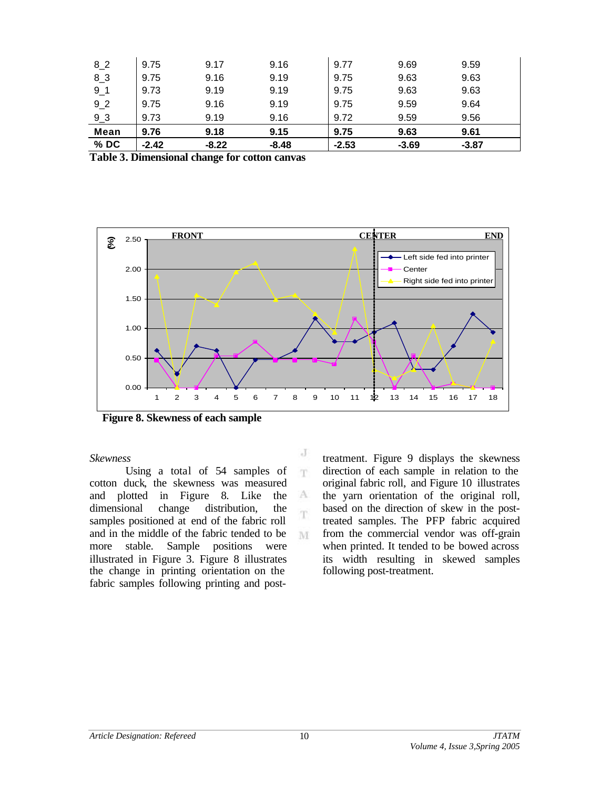| $%$ DC         | $-2.42$ | $-8.22$ | $-8.48$ | $-2.53$ | $-3.69$ | $-3.87$ |  |
|----------------|---------|---------|---------|---------|---------|---------|--|
| <b>Mean</b>    | 9.76    | 9.18    | 9.15    | 9.75    | 9.63    | 9.61    |  |
| 9 <sub>2</sub> | 9.73    | 9.19    | 9.16    | 9.72    | 9.59    | 9.56    |  |
| 92             | 9.75    | 9.16    | 9.19    | 9.75    | 9.59    | 9.64    |  |
| $9-1$          | 9.73    | 9.19    | 9.19    | 9.75    | 9.63    | 9.63    |  |
| $8-3$          | 9.75    | 9.16    | 9.19    | 9.75    | 9.63    | 9.63    |  |
| 82             | 9.75    | 9.17    | 9.16    | 9.77    | 9.69    | 9.59    |  |

**Table 3. Dimensional change for cotton canvas**



J T.

A T.

M

**Figure 8. Skewness of each sample**

*Skewness*

Using a total of 54 samples of cotton duck, the skewness was measured and plotted in Figure 8. Like the dimensional change distribution, the samples positioned at end of the fabric roll and in the middle of the fabric tended to be more stable. Sample positions were illustrated in Figure 3. Figure 8 illustrates the change in printing orientation on the fabric samples following printing and posttreatment. Figure 9 displays the skewness direction of each sample in relation to the original fabric roll, and Figure 10 illustrates the yarn orientation of the original roll, based on the direction of skew in the posttreated samples. The PFP fabric acquired from the commercial vendor was off-grain when printed. It tended to be bowed across its width resulting in skewed samples following post-treatment.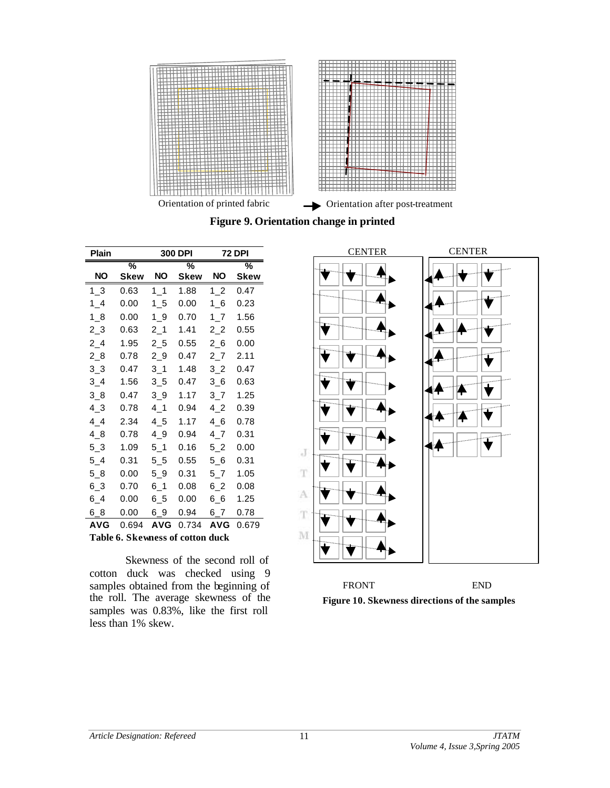

**Figure 9. Orientation change in printed** 

| Plain          |                                  |                | 300 DPI | <b>72 DPI</b>              |       |  |  |  |  |
|----------------|----------------------------------|----------------|---------|----------------------------|-------|--|--|--|--|
|                | %                                |                | %       |                            | %     |  |  |  |  |
| NO             | <b>Skew</b>                      | NO.            | Skew    | NO                         | Skew  |  |  |  |  |
| $1-3$          | 0.63                             | 1 <sub>1</sub> | 1.88    | 1 <sub>2</sub>             | 0.47  |  |  |  |  |
| $1_{-}4$       | 0.00                             | 15             | 0.00    | 16                         | 0.23  |  |  |  |  |
| 18             | 0.00                             | 19             | 0.70    | $1-7$                      | 1.56  |  |  |  |  |
| $2-3$          | 0.63                             | $2-1$          | 1.41    | 2 <sub>2</sub>             | 0.55  |  |  |  |  |
| $2 - 4$        | 1.95                             | 25             | 0.55    | 2 <sub>6</sub>             | 0.00  |  |  |  |  |
| $2_{8}$        | 0.78                             | $2 - 9$        | 0.47    | $2 - 7$                    | 2.11  |  |  |  |  |
| $3_{-}3$       | 0.47                             | $3-1$          | 1.48    | $3-2$                      | 0.47  |  |  |  |  |
| $3\_4$         | 1.56                             | 3 <sub>5</sub> | 0.47    | 36                         | 0.63  |  |  |  |  |
| 3 <sub>8</sub> | 0.47                             | $3_{-}9$       | 1.17    | $3\overline{\phantom{0}}7$ | 1.25  |  |  |  |  |
| 43             | 0.78                             | $4\_1$         | 0.94    | 4 <sub>2</sub>             | 0.39  |  |  |  |  |
| 44             | 2.34                             | $4\_5$         | 1.17    | $4\_6$                     | 0.78  |  |  |  |  |
| $4_{-8}$       | 0.78                             | $4-9$          | 0.94    | 4.7                        | 0.31  |  |  |  |  |
| 5 <sub>3</sub> | 1.09                             | $5-1$          | 0.16    | 52                         | 0.00  |  |  |  |  |
| $5-4$          | 0.31                             | 55             | 0.55    | 56                         | 0.31  |  |  |  |  |
| $5-8$          | 0.00                             | $5-9$          | 0.31    | $5-7$                      | 1.05  |  |  |  |  |
| $6 - 3$        | 0.70                             | $6 - 1$        | 0.08    | 62                         | 0.08  |  |  |  |  |
| $6\_4$         | 0.00                             | $6\_5$         | 0.00    | 66                         | 1.25  |  |  |  |  |
| 68             | 0.00                             | 69             | 0.94    | 67                         | 0.78  |  |  |  |  |
| <b>AVG</b>     | 0.694                            | <b>AVG</b>     | 0.734   | <b>AVG</b>                 | 0.679 |  |  |  |  |
|                | Table 6. Skewness of cotton duck |                |         |                            |       |  |  |  |  |

Skewness of the second roll of cotton duck was checked using 9 samples obtained from the beginning of the roll. The average skewness of the samples was 0.83%, like the first roll less than 1% skew.



**Figure 10. Skewness directions of the samples**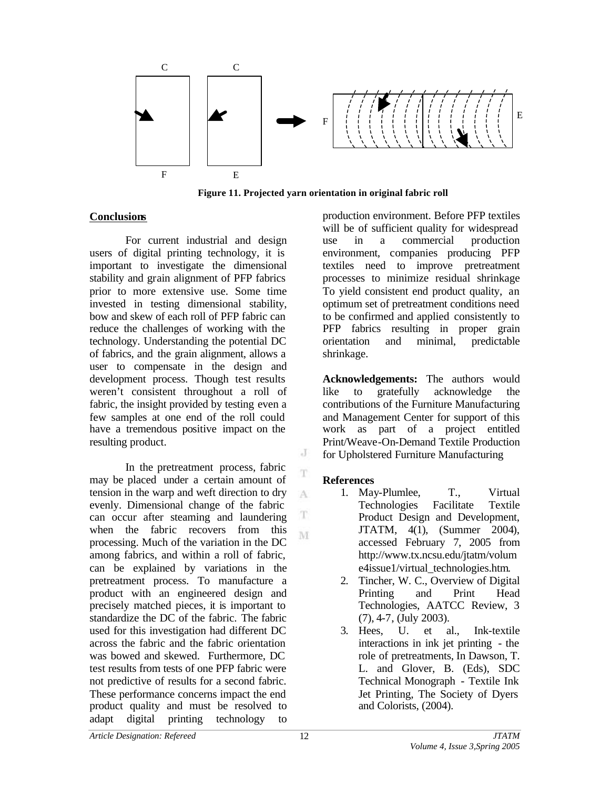

**Figure 11. Projected yarn orientation in original fabric roll**

## **Conclusions**

For current industrial and design users of digital printing technology, it is important to investigate the dimensional stability and grain alignment of PFP fabrics prior to more extensive use. Some time invested in testing dimensional stability, bow and skew of each roll of PFP fabric can reduce the challenges of working with the technology. Understanding the potential DC of fabrics, and the grain alignment, allows a user to compensate in the design and development process. Though test results weren't consistent throughout a roll of fabric, the insight provided by testing even a few samples at one end of the roll could have a tremendous positive impact on the resulting product.

In the pretreatment process, fabric may be placed under a certain amount of tension in the warp and weft direction to dry evenly. Dimensional change of the fabric can occur after steaming and laundering when the fabric recovers from this processing. Much of the variation in the DC among fabrics, and within a roll of fabric, can be explained by variations in the pretreatment process. To manufacture a product with an engineered design and precisely matched pieces, it is important to standardize the DC of the fabric. The fabric used for this investigation had different DC across the fabric and the fabric orientation was bowed and skewed. Furthermore, DC test results from tests of one PFP fabric were not predictive of results for a second fabric. These performance concerns impact the end product quality and must be resolved to adapt digital printing technology to

production environment. Before PFP textiles will be of sufficient quality for widespread use in a commercial production environment, companies producing PFP textiles need to improve pretreatment processes to minimize residual shrinkage To yield consistent end product quality, an optimum set of pretreatment conditions need to be confirmed and applied consistently to PFP fabrics resulting in proper grain orientation and minimal, predictable shrinkage.

**Acknowledgements:** The authors would like to gratefully acknowledge the contributions of the Furniture Manufacturing and Management Center for support of this work as part of a project entitled Print/Weave-On-Demand Textile Production for Upholstered Furniture Manufacturing

## **References**

J

T

A

T M

- 1. May-Plumlee, T., Virtual Technologies Facilitate Textile Product Design and Development, JTATM, 4(1), (Summer 2004), accessed February 7, 2005 from <http://www.tx.ncsu.edu/jtatm/volum> e4issue1/virtual\_technologies.htm.
- 2. Tincher, W. C., Overview of Digital Printing and Print Head Technologies, AATCC Review, 3 (7), 4-7, (July 2003).
- 3. Hees, U. et al., Ink-textile interactions in ink jet printing - the role of pretreatments, In Dawson, T. L. and Glover, B. (Eds), SDC Technical Monograph - Textile Ink Jet Printing, The Society of Dyers and Colorists, (2004).